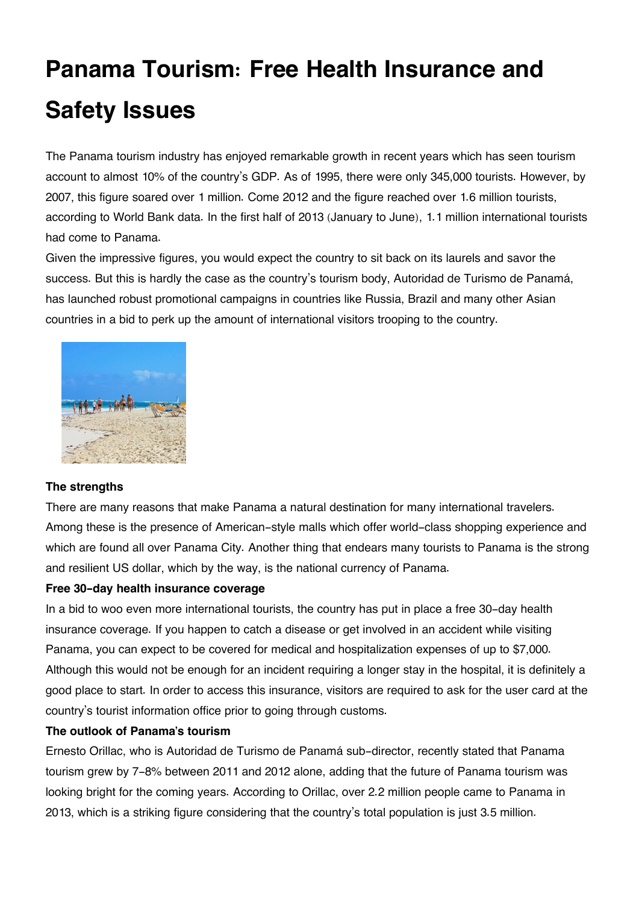# **Panama Tourism: Free Health Insurance and Safety Issues**

The Panama tourism industry has enjoyed remarkable growth in recent years which has seen tourism account to almost 10% of the country's GDP. As of 1995, there were only 345,000 tourists. However, by 2007, this figure soared over 1 million. Come 2012 and the figure reached over 1.6 million tourists, according to World Bank data. In the first half of 2013 (January to June), 1.1 million international tourists had come to Panama.

Given the impressive figures, you would expect the country to sit back on its laurels and savor the success. But this is hardly the case as the country's tourism body, Autoridad de Turismo de Panamá, has launched robust promotional campaigns in countries like Russia, Brazil and many other Asian countries in a bid to perk up the amount of international visitors trooping to the country.



## **The strengths**

There are many reasons that make Panama a natural destination for many international travelers. Among these is the presence of American-style malls which offer world-class shopping experience and which are found all over Panama City. Another thing that endears many tourists to Panama is the strong and resilient US dollar, which by the way, is the national currency of Panama.

#### **Free 30-day health insurance coverage**

In a bid to woo even more international tourists, the country has put in place a free 30-day health insurance coverage. If you happen to catch a disease or get involved in an accident while visiting Panama, you can expect to be covered for medical and hospitalization expenses of up to \$7,000. Although this would not be enough for an incident requiring a longer stay in the hospital, it is definitely a good place to start. In order to access this insurance, visitors are required to ask for the user card at the country's tourist information office prior to going through customs.

#### **The outlook of Panama's tourism**

Ernesto Orillac, who is Autoridad de Turismo de Panamá sub-director, recently stated that Panama tourism grew by 7-8% between 2011 and 2012 alone, adding that the future of Panama tourism was looking bright for the coming years. According to Orillac, over 2.2 million people came to Panama in 2013, which is a striking figure considering that the country's total population is just 3.5 million.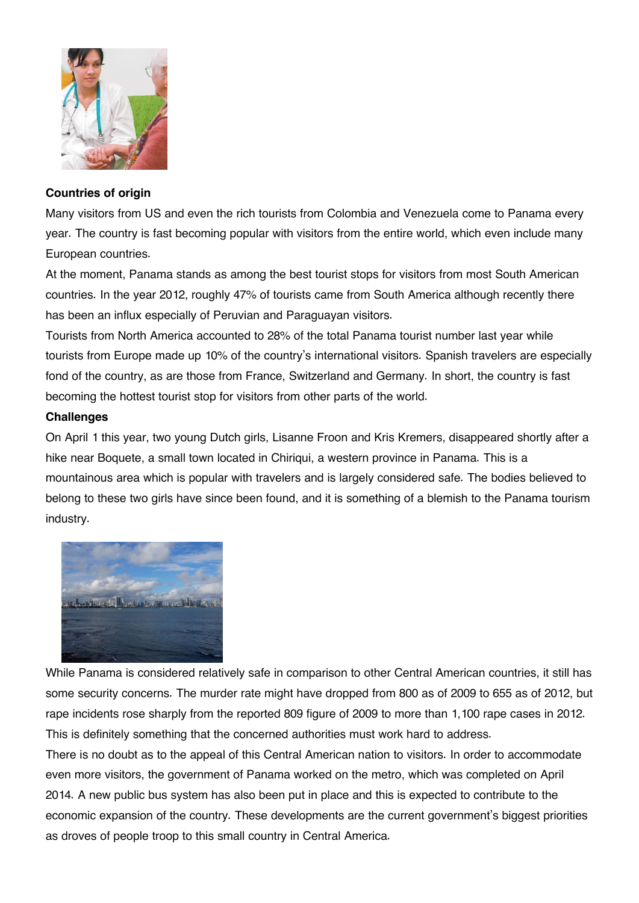

### **Countries of origin**

Many visitors from US and even the rich tourists from Colombia and Venezuela come to Panama every year. The country is fast becoming popular with visitors from the entire world, which even include many European countries.

At the moment, Panama stands as among the best tourist stops for visitors from most South American countries. In the year 2012, roughly 47% of tourists came from South America although recently there has been an influx especially of Peruvian and Paraguayan visitors.

Tourists from North America accounted to 28% of the total Panama tourist number last year while tourists from Europe made up 10% of the country's international visitors. Spanish travelers are especially fond of the country, as are those from France, Switzerland and Germany. In short, the country is fast becoming the hottest tourist stop for visitors from other parts of the world.

## **Challenges**

On April 1 this year, two young Dutch girls, Lisanne Froon and Kris Kremers, disappeared shortly after a hike near Boquete, a small town located in Chiriqui, a western province in Panama. This is a mountainous area which is popular with travelers and is largely considered safe. The bodies believed to belong to these two girls have since been found, and it is something of a blemish to the Panama tourism industry.



While Panama is considered relatively safe in comparison to other Central American countries, it still has some security concerns. The murder rate might have dropped from 800 as of 2009 to 655 as of 2012, but rape incidents rose sharply from the reported 809 figure of 2009 to more than 1,100 rape cases in 2012. This is definitely something that the concerned authorities must work hard to address.

There is no doubt as to the appeal of this Central American nation to visitors. In order to accommodate even more visitors, the government of Panama worked on the metro, which was completed on April 2014. A new public bus system has also been put in place and this is expected to contribute to the economic expansion of the country. These developments are the current government's biggest priorities as droves of people troop to this small country in Central America.